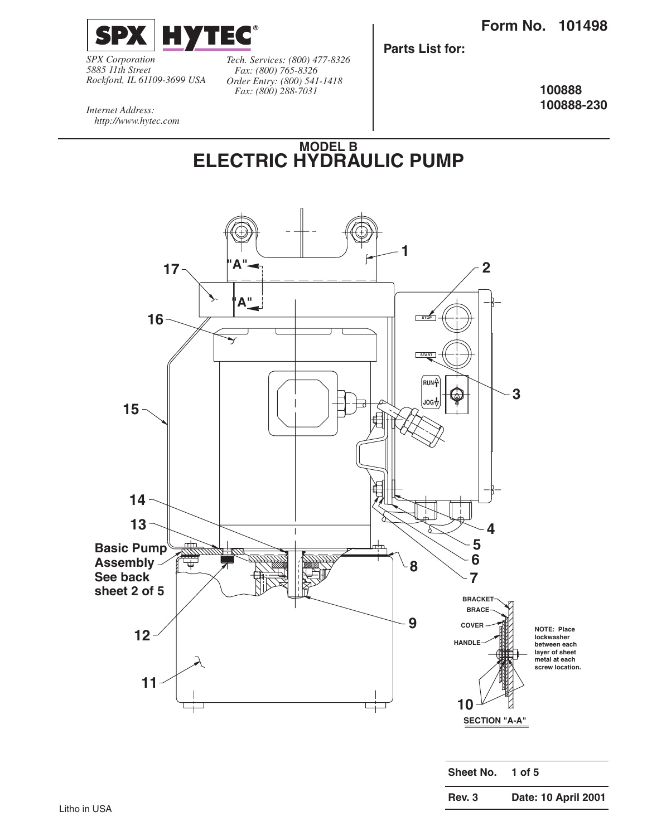

*SPX Corporation 5885 11th Street Rockford, IL 61109-3699 USA* *Tech. Services: (800) 477-8326 Fax: (800) 765-8326 Order Entry: (800) 541-1418 Fax: (800) 288-7031*

**Parts List for:**

**100888 100888-230**

*Internet Address: http://www.hytec.com*

> **MODEL B ELECTRIC HYDRAULIC PUMP**

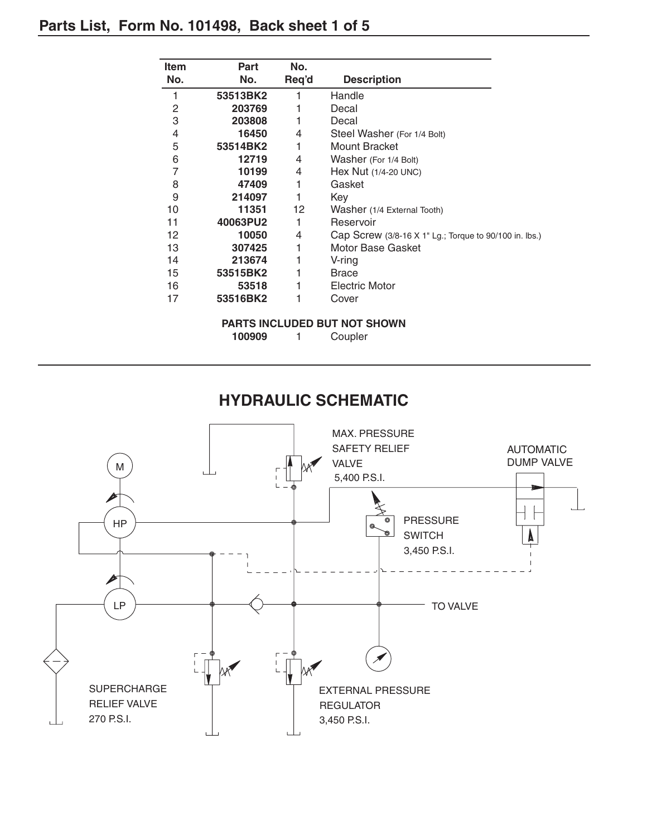# **Parts List, Form No. 101498, Back sheet 1 of 5**

| <b>Item</b> | Part     | No.   |                                                        |
|-------------|----------|-------|--------------------------------------------------------|
| No.         | No.      | Req'd | <b>Description</b>                                     |
| 1           | 53513BK2 | 1     | Handle                                                 |
| 2           | 203769   |       | Decal                                                  |
| 3           | 203808   |       | Decal                                                  |
| 4           | 16450    | 4     | Steel Washer (For 1/4 Bolt)                            |
| 5           | 53514BK2 |       | <b>Mount Bracket</b>                                   |
| 6           | 12719    | 4     | Washer (For 1/4 Bolt)                                  |
| 7           | 10199    | 4     | Hex Nut (1/4-20 UNC)                                   |
| 8           | 47409    | 1     | Gasket                                                 |
| 9           | 214097   |       | Key                                                    |
| 10          | 11351    | 12    | Washer (1/4 External Tooth)                            |
| 11          | 40063PU2 |       | Reservoir                                              |
| 12.         | 10050    | 4     | Cap Screw (3/8-16 X 1" Lg.; Torque to 90/100 in. lbs.) |
| 13          | 307425   | 1     | Motor Base Gasket                                      |
| 14          | 213674   |       | V-ring                                                 |
| 15          | 53515BK2 |       | <b>Brace</b>                                           |
| 16          | 53518    |       | <b>Electric Motor</b>                                  |
| 17          | 53516BK2 |       | Cover                                                  |
|             |          |       |                                                        |

#### **PARTS INCLUDED BUT NOT SHOWN**

**100909** 1 Coupler

### **HYDRAULIC SCHEMATIC**

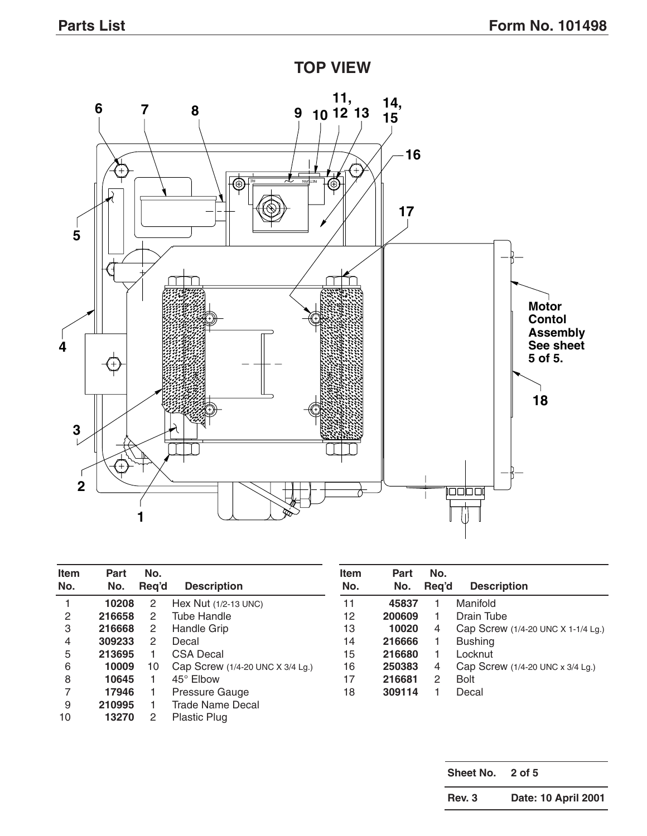

| <b>Item</b><br>No. | Part<br>No. | No.<br>Reg'd         | <b>Description</b>               | <b>Item</b><br>No. | <b>Part</b><br>No. | No.<br>Reg'd | <b>Description</b>                   |
|--------------------|-------------|----------------------|----------------------------------|--------------------|--------------------|--------------|--------------------------------------|
|                    | 10208       | 2                    | Hex Nut $(1/2-13$ UNC)           | 11                 | 45837              |              | Manifold                             |
| 2                  | 216658      | 2                    | Tube Handle                      | 12                 | 200609             |              | Drain Tube                           |
| 3                  | 216668      | $\mathbf{2}^{\circ}$ | Handle Grip                      | 13                 | 10020              | 4            | Cap Screw (1/4-20 UNC X 1-1/4 Lg.)   |
| 4                  | 309233      | 2                    | Decal                            | 14                 | 216666             |              | <b>Bushing</b>                       |
| 5                  | 213695      |                      | CSA Decal                        | 15                 | 216680             |              | Locknut                              |
| 6                  | 10009       | 10                   | Cap Screw (1/4-20 UNC X 3/4 Lg.) | 16                 | 250383             | 4            | Cap Screw $(1/4-20$ UNC x $3/4$ Lg.) |
| 8                  | 10645       |                      | $45^\circ$ Elbow                 | 17                 | 216681             | 2            | <b>Bolt</b>                          |
|                    | 17946       |                      | Pressure Gauge                   | 18                 | 309114             |              | Decal                                |
| 9                  | 210995      |                      | Trade Name Decal                 |                    |                    |              |                                      |
| 10                 | 13270       | 2                    | <b>Plastic Plug</b>              |                    |                    |              |                                      |

**Sheet No. 2 of 5 Rev. 3 Date: 10 April 2001**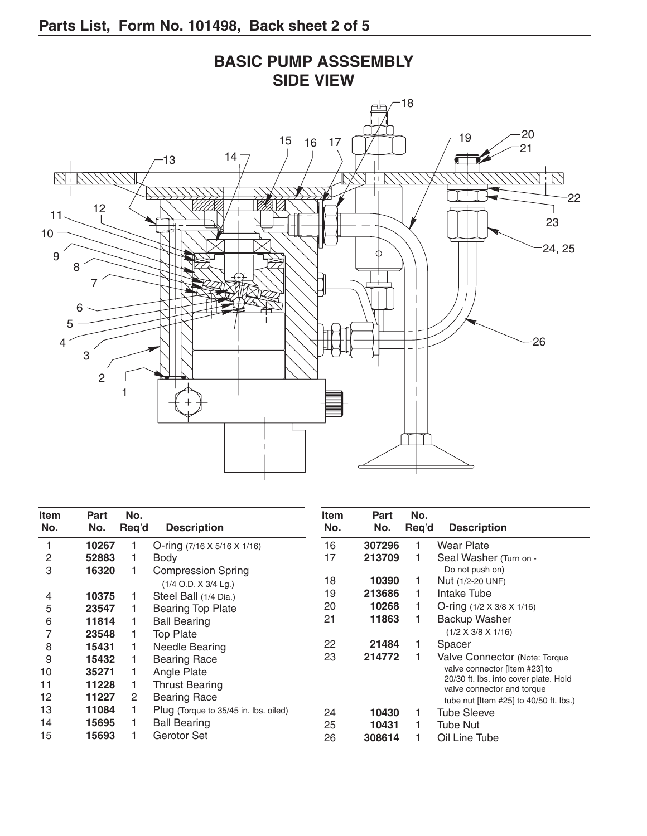

| <b>Item</b> | Part  | No.   |                                         | <b>Item</b><br>No. | Part   | No.   |                                                                     |
|-------------|-------|-------|-----------------------------------------|--------------------|--------|-------|---------------------------------------------------------------------|
| No.         | No.   | Req'd | <b>Description</b>                      |                    | No.    | Req'd | <b>Description</b>                                                  |
|             | 10267 |       | O-ring $(7/16 \times 5/16 \times 1/16)$ | 16                 | 307296 |       | <b>Wear Plate</b>                                                   |
| 2           | 52883 |       | Body                                    | 17                 | 213709 |       | Seal Washer (Turn on -                                              |
| 3           | 16320 |       | <b>Compression Spring</b>               |                    |        |       | Do not push on)                                                     |
|             |       |       | $(1/4$ O.D. X $3/4$ Lg.)                | 18                 | 10390  |       | Nut (1/2-20 UNF)                                                    |
| 4           | 10375 |       | Steel Ball (1/4 Dia.)                   | 19                 | 213686 |       | Intake Tube                                                         |
| 5           | 23547 |       | <b>Bearing Top Plate</b>                | 20                 | 10268  |       | O-ring $(1/2 \times 3/8 \times 1/16)$                               |
| 6           | 11814 |       | <b>Ball Bearing</b>                     | 21                 | 11863  |       | Backup Washer                                                       |
|             | 23548 |       | <b>Top Plate</b>                        |                    |        |       | $(1/2 \times 3/8 \times 1/16)$                                      |
| 8           | 15431 |       | Needle Bearing                          | 22                 | 21484  |       | Spacer                                                              |
| 9           | 15432 |       | <b>Bearing Race</b>                     | 23                 | 214772 |       | Valve Connector (Note: Torque                                       |
| 10          | 35271 |       | Angle Plate                             |                    |        |       | valve connector [Item #23] to                                       |
| 11          | 11228 |       | <b>Thrust Bearing</b>                   |                    |        |       | 20/30 ft. Ibs. into cover plate. Hold<br>valve connector and torque |
| 12          | 11227 | 2     | <b>Bearing Race</b>                     |                    |        |       | tube nut [Item $#25$ ] to $40/50$ ft. lbs.)                         |
| 13          | 11084 |       | Plug (Torque to 35/45 in. lbs. oiled)   | 24                 | 10430  |       | <b>Tube Sleeve</b>                                                  |
| 14          | 15695 |       | <b>Ball Bearing</b>                     | 25                 | 10431  |       | Tube Nut                                                            |
| 15          | 15693 |       | Gerotor Set                             | 26                 | 308614 |       | Oil Line Tube                                                       |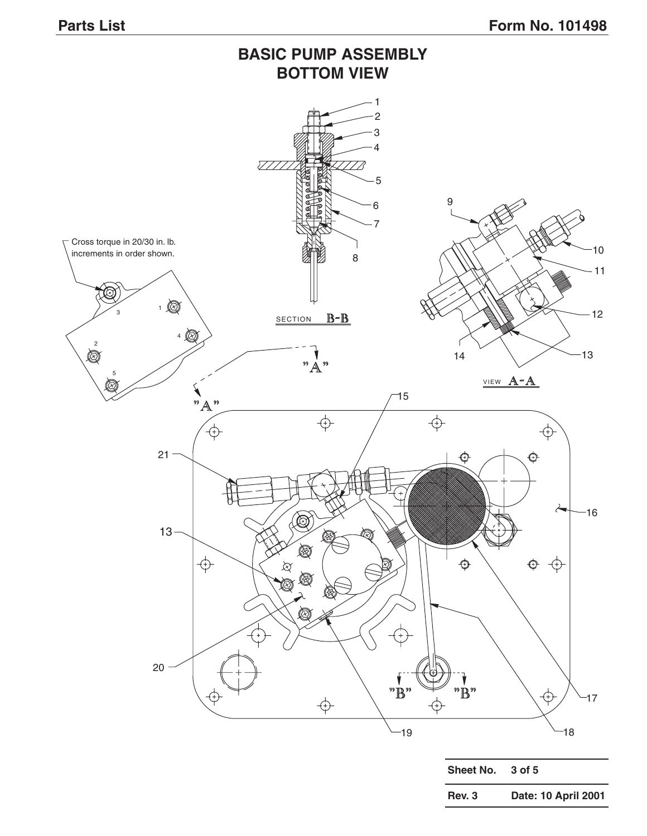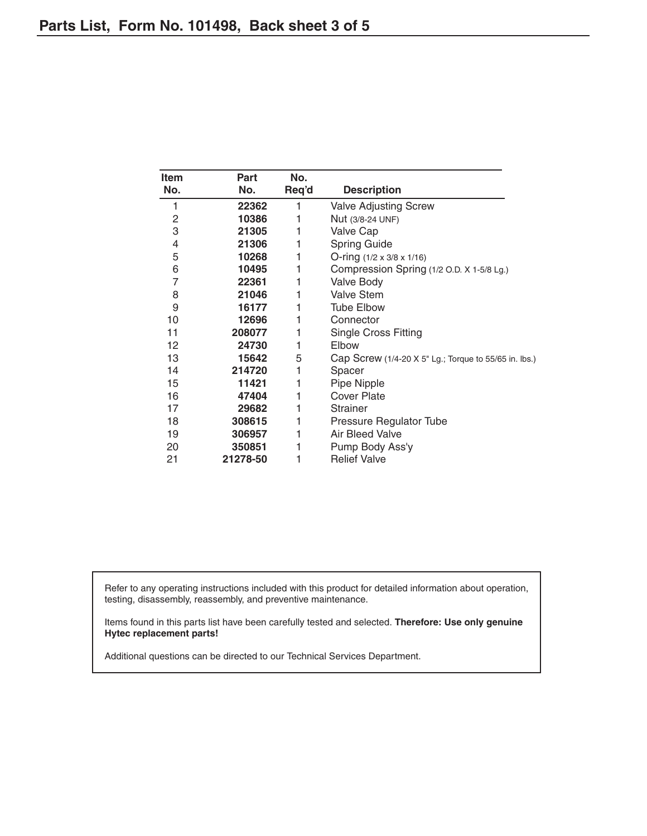| Item           | Part     | No.   |                                                       |
|----------------|----------|-------|-------------------------------------------------------|
| No.            | No.      | Req'd | <b>Description</b>                                    |
| 1              | 22362    | 1     | <b>Valve Adjusting Screw</b>                          |
| 2              | 10386    | 1     | Nut (3/8-24 UNF)                                      |
| 3              | 21305    | 1     | Valve Cap                                             |
| 4              | 21306    | 1     | <b>Spring Guide</b>                                   |
| 5              | 10268    | 1     | O-ring $(1/2 \times 3/8 \times 1/16)$                 |
| 6              | 10495    | 1     | Compression Spring (1/2 O.D. X 1-5/8 Lg.)             |
| $\overline{7}$ | 22361    | 1     | <b>Valve Body</b>                                     |
| 8              | 21046    | 1     | <b>Valve Stem</b>                                     |
| 9              | 16177    |       | <b>Tube Elbow</b>                                     |
| 10             | 12696    | 1     | Connector                                             |
| 11             | 208077   |       | <b>Single Cross Fitting</b>                           |
| 12             | 24730    | 1     | Elbow                                                 |
| 13             | 15642    | 5     | Cap Screw (1/4-20 X 5" Lg.; Torque to 55/65 in. lbs.) |
| 14             | 214720   | 1     | Spacer                                                |
| 15             | 11421    | 1     | Pipe Nipple                                           |
| 16             | 47404    | 1     | <b>Cover Plate</b>                                    |
| 17             | 29682    | 1     | <b>Strainer</b>                                       |
| 18             | 308615   | 1     | Pressure Regulator Tube                               |
| 19             | 306957   | 1     | Air Bleed Valve                                       |
| 20             | 350851   |       | Pump Body Ass'y                                       |
| 21             | 21278-50 |       | <b>Relief Valve</b>                                   |

Refer to any operating instructions included with this product for detailed information about operation, testing, disassembly, reassembly, and preventive maintenance.

Items found in this parts list have been carefully tested and selected. **Therefore: Use only genuine Hytec replacement parts!**

Additional questions can be directed to our Technical Services Department.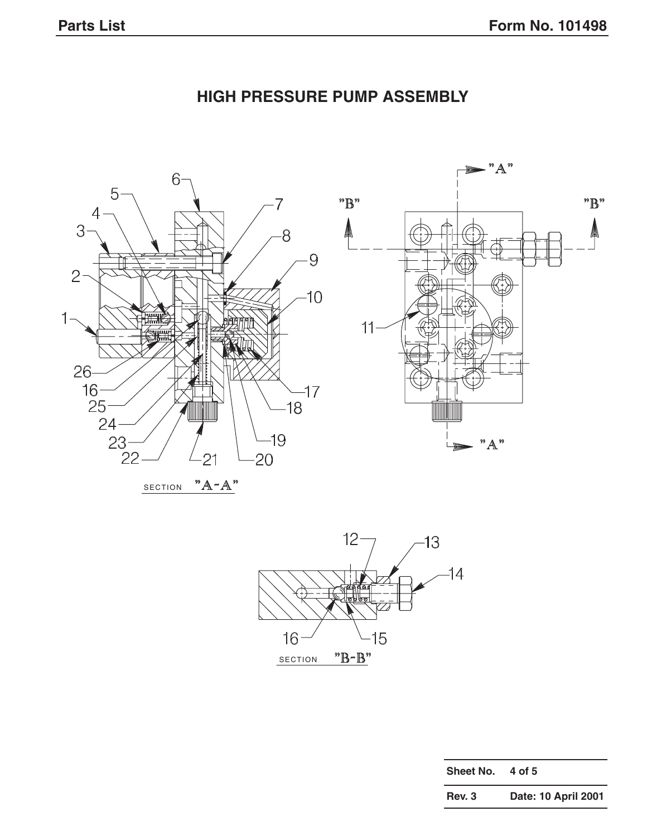

# **HIGH PRESSURE PUMP ASSEMBLY**





| <b>Sheet No.</b> | 4 of 5              |
|------------------|---------------------|
| Rev. 3           | Date: 10 April 2001 |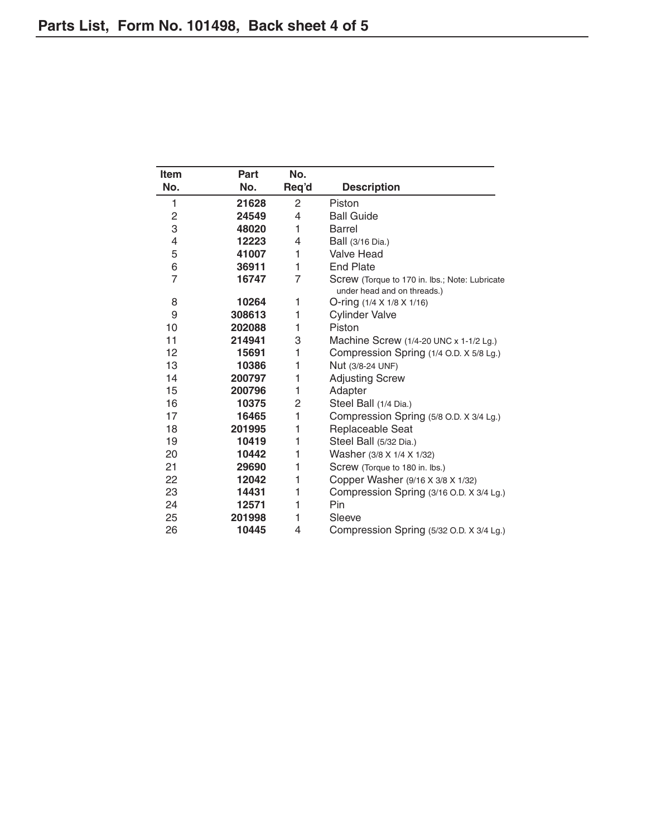| <b>Item</b>    | Part   | No.            |                                                |
|----------------|--------|----------------|------------------------------------------------|
| No.            | No.    | Req'd          | <b>Description</b>                             |
| 1              | 21628  | $\overline{2}$ | Piston                                         |
| 2              | 24549  | 4              | <b>Ball Guide</b>                              |
| 3              | 48020  | 1              | <b>Barrel</b>                                  |
| 4              | 12223  | 4              | Ball (3/16 Dia.)                               |
| 5              | 41007  | 1              | <b>Valve Head</b>                              |
| 6              | 36911  | 1              | <b>End Plate</b>                               |
| $\overline{7}$ | 16747  | $\overline{7}$ | Screw (Torque to 170 in. lbs.; Note: Lubricate |
|                |        |                | under head and on threads.)                    |
| 8              | 10264  | 1              | O-ring (1/4 X 1/8 X 1/16)                      |
| 9              | 308613 | 1              | <b>Cylinder Valve</b>                          |
| 10             | 202088 | 1              | Piston                                         |
| 11             | 214941 | 3              | Machine Screw $(1/4-20$ UNC x 1-1/2 Lg.)       |
| 12             | 15691  | 1              | Compression Spring (1/4 O.D. X 5/8 Lg.)        |
| 13             | 10386  | 1              | Nut (3/8-24 UNF)                               |
| 14             | 200797 | 1              | <b>Adjusting Screw</b>                         |
| 15             | 200796 | 1              | Adapter                                        |
| 16             | 10375  | 2              | Steel Ball (1/4 Dia.)                          |
| 17             | 16465  | 1              | Compression Spring (5/8 O.D. X 3/4 Lg.)        |
| 18             | 201995 | 1              | Replaceable Seat                               |
| 19             | 10419  | 1              | Steel Ball (5/32 Dia.)                         |
| 20             | 10442  | 1              | Washer (3/8 X 1/4 X 1/32)                      |
| 21             | 29690  | 1              | Screw (Torque to 180 in. lbs.)                 |
| 22             | 12042  | 1              | Copper Washer (9/16 X 3/8 X 1/32)              |
| 23             | 14431  | 1              | Compression Spring (3/16 O.D. X 3/4 Lg.)       |
| 24             | 12571  | 1              | Pin                                            |
| 25             | 201998 | 1              | Sleeve                                         |
| 26             | 10445  | 4              | Compression Spring (5/32 O.D. X 3/4 Lg.)       |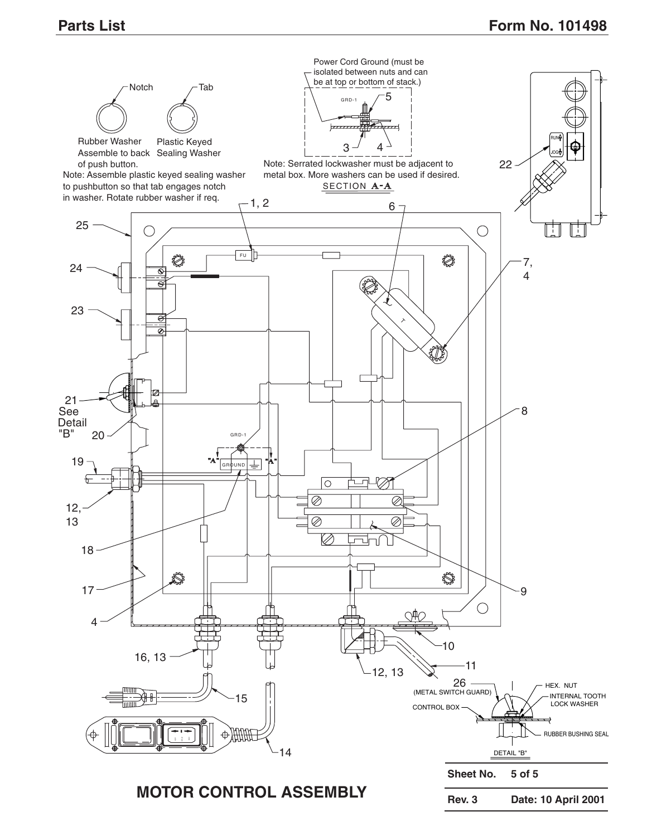